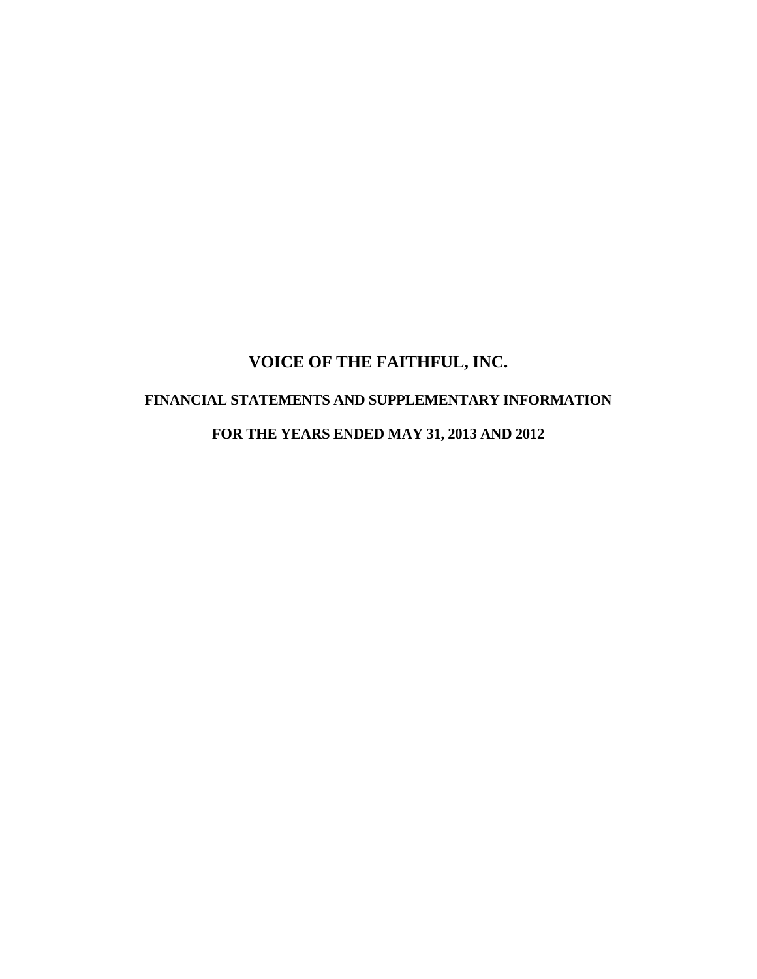# **VOICE OF THE FAITHFUL, INC. FINANCIAL STATEMENTS AND SUPPLEMENTARY INFORMATION FOR THE YEARS ENDED MAY 31, 2013 AND 2012**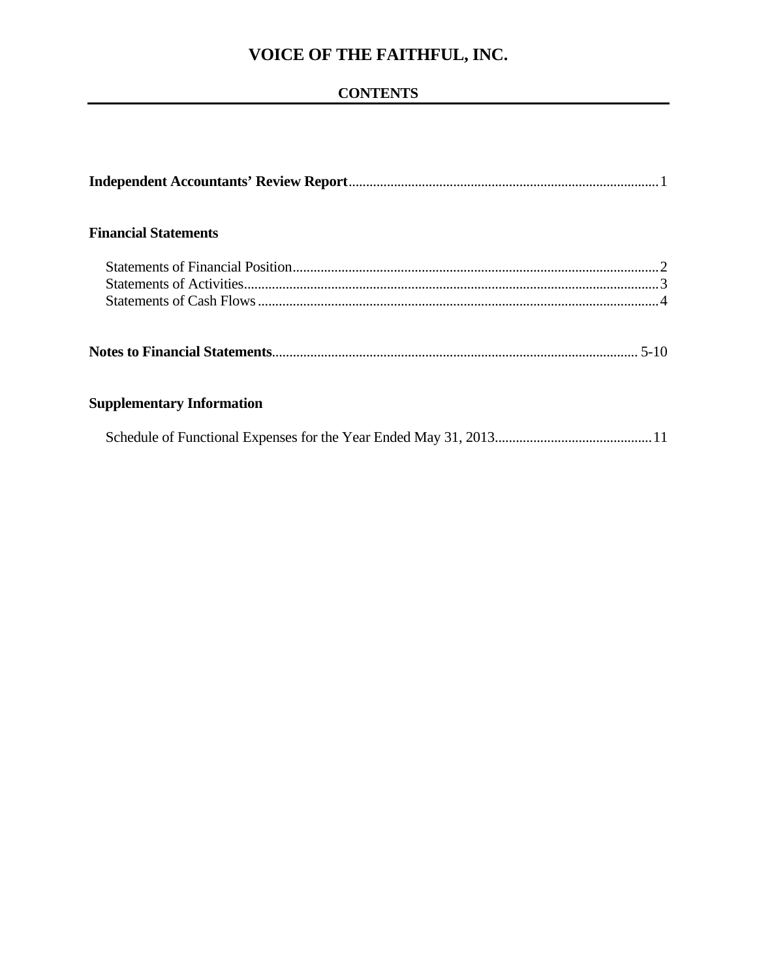## **CONTENTS**

| <b>Financial Statements</b>      |  |
|----------------------------------|--|
|                                  |  |
|                                  |  |
|                                  |  |
|                                  |  |
| <b>Supplementary Information</b> |  |
|                                  |  |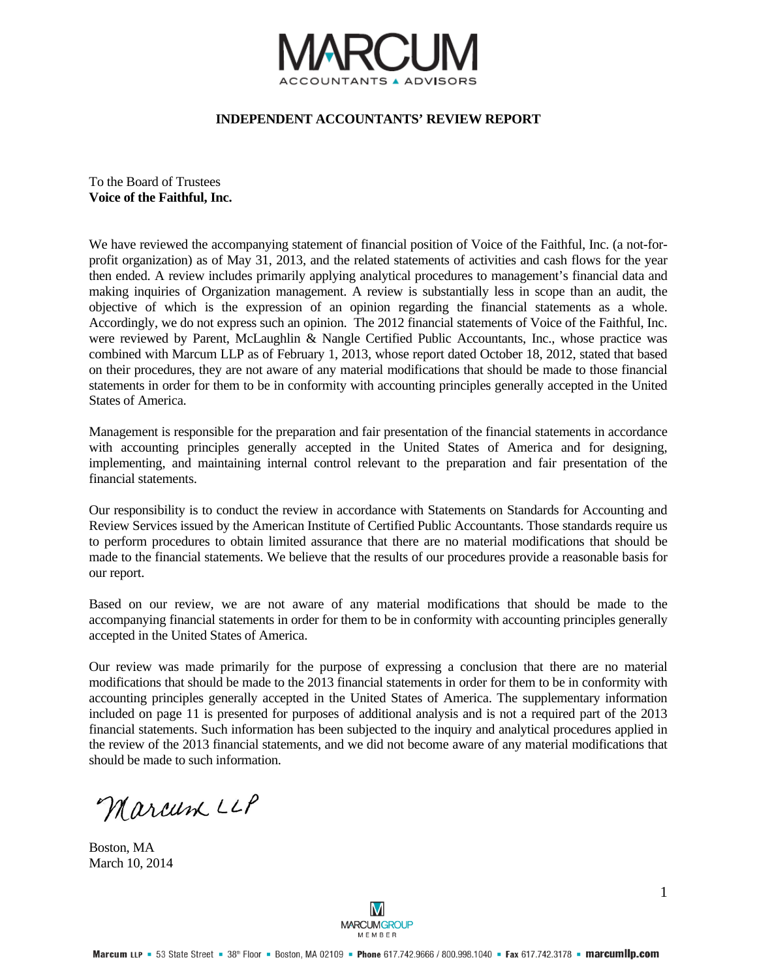

#### **INDEPENDENT ACCOUNTANTS' REVIEW REPORT**

To the Board of Trustees **Voice of the Faithful, Inc.** 

We have reviewed the accompanying statement of financial position of Voice of the Faithful, Inc. (a not-forprofit organization) as of May 31, 2013, and the related statements of activities and cash flows for the year then ended. A review includes primarily applying analytical procedures to management's financial data and making inquiries of Organization management. A review is substantially less in scope than an audit, the objective of which is the expression of an opinion regarding the financial statements as a whole. Accordingly, we do not express such an opinion. The 2012 financial statements of Voice of the Faithful, Inc. were reviewed by Parent, McLaughlin & Nangle Certified Public Accountants, Inc., whose practice was combined with Marcum LLP as of February 1, 2013, whose report dated October 18, 2012, stated that based on their procedures, they are not aware of any material modifications that should be made to those financial statements in order for them to be in conformity with accounting principles generally accepted in the United States of America.

Management is responsible for the preparation and fair presentation of the financial statements in accordance with accounting principles generally accepted in the United States of America and for designing, implementing, and maintaining internal control relevant to the preparation and fair presentation of the financial statements.

Our responsibility is to conduct the review in accordance with Statements on Standards for Accounting and Review Services issued by the American Institute of Certified Public Accountants. Those standards require us to perform procedures to obtain limited assurance that there are no material modifications that should be made to the financial statements. We believe that the results of our procedures provide a reasonable basis for our report.

Based on our review, we are not aware of any material modifications that should be made to the accompanying financial statements in order for them to be in conformity with accounting principles generally accepted in the United States of America.

Our review was made primarily for the purpose of expressing a conclusion that there are no material modifications that should be made to the 2013 financial statements in order for them to be in conformity with accounting principles generally accepted in the United States of America. The supplementary information included on page 11 is presented for purposes of additional analysis and is not a required part of the 2013 financial statements. Such information has been subjected to the inquiry and analytical procedures applied in the review of the 2013 financial statements, and we did not become aware of any material modifications that should be made to such information.

Marcum LLP

Boston, MA March 10, 2014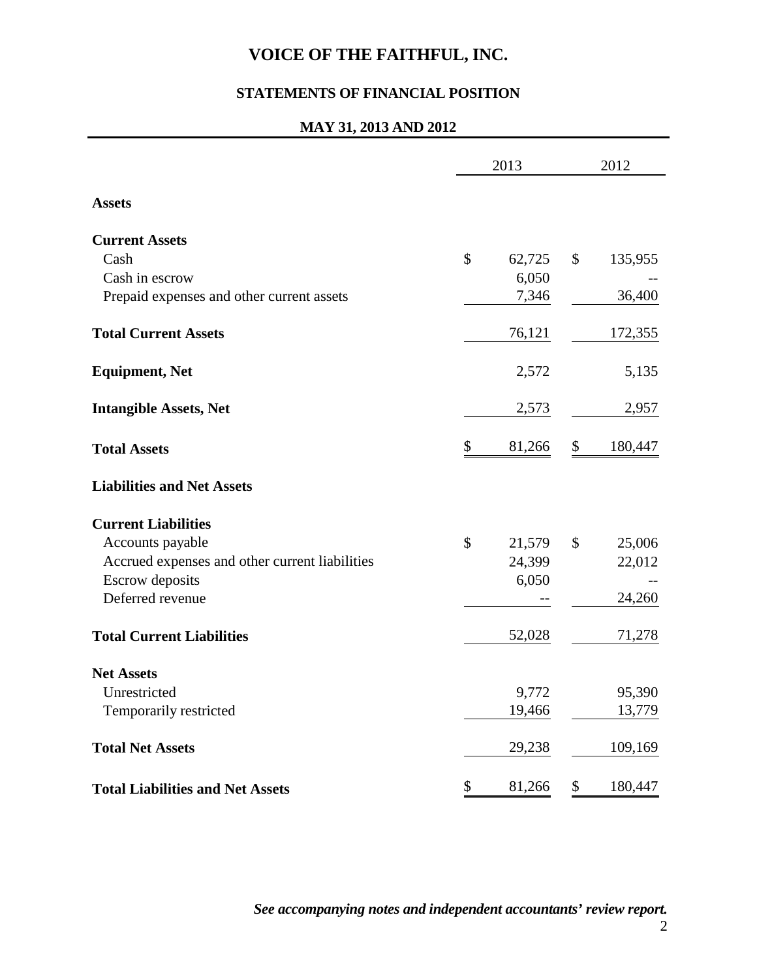## **STATEMENTS OF FINANCIAL POSITION**

#### **MAY 31, 2013 AND 2012**

|                                                | 2013         | 2012 |         |  |
|------------------------------------------------|--------------|------|---------|--|
| <b>Assets</b>                                  |              |      |         |  |
| <b>Current Assets</b>                          |              |      |         |  |
| Cash                                           | \$<br>62,725 | \$   | 135,955 |  |
| Cash in escrow                                 | 6,050        |      |         |  |
| Prepaid expenses and other current assets      | 7,346        |      | 36,400  |  |
| <b>Total Current Assets</b>                    | 76,121       |      | 172,355 |  |
| <b>Equipment, Net</b>                          | 2,572        |      | 5,135   |  |
| <b>Intangible Assets, Net</b>                  | 2,573        |      | 2,957   |  |
| <b>Total Assets</b>                            | \$<br>81,266 | \$   | 180,447 |  |
| <b>Liabilities and Net Assets</b>              |              |      |         |  |
| <b>Current Liabilities</b>                     |              |      |         |  |
| Accounts payable                               | \$<br>21,579 | \$   | 25,006  |  |
| Accrued expenses and other current liabilities | 24,399       |      | 22,012  |  |
| <b>Escrow</b> deposits                         | 6,050        |      |         |  |
| Deferred revenue                               |              |      | 24,260  |  |
| <b>Total Current Liabilities</b>               | 52,028       |      | 71,278  |  |
| <b>Net Assets</b>                              |              |      |         |  |
| Unrestricted                                   | 9,772        |      | 95,390  |  |
| Temporarily restricted                         | 19,466       |      | 13,779  |  |
| <b>Total Net Assets</b>                        | 29,238       |      | 109,169 |  |
| <b>Total Liabilities and Net Assets</b>        | \$<br>81,266 | \$   | 180,447 |  |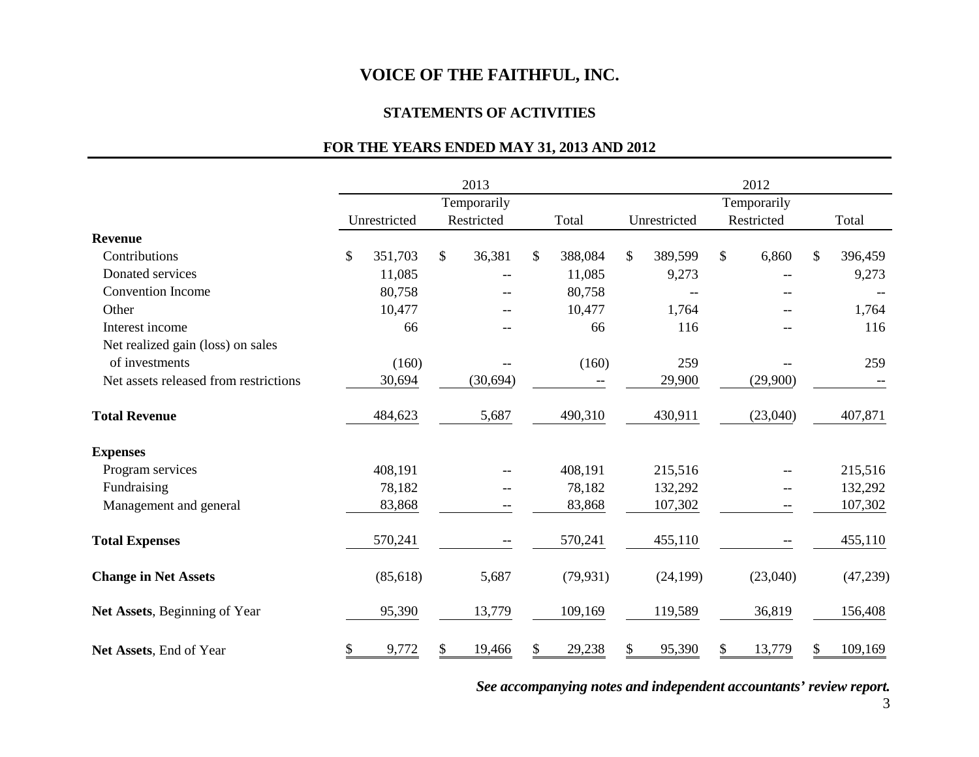#### **STATEMENTS OF ACTIVITIES**

## **FOR THE YEARS ENDED MAY 31, 2013 AND 2012**

|                                       | 2013 |              |    |            |             | 2012      |               |              |    |             |    |          |  |
|---------------------------------------|------|--------------|----|------------|-------------|-----------|---------------|--------------|----|-------------|----|----------|--|
|                                       |      | Temporarily  |    |            | Temporarily |           |               |              |    |             |    |          |  |
|                                       |      | Unrestricted |    | Restricted |             | Total     |               | Unrestricted |    | Restricted  |    | Total    |  |
| <b>Revenue</b>                        |      |              |    |            |             |           |               |              |    |             |    |          |  |
| Contributions                         | \$   | 351,703      | \$ | 36,381     | \$          | 388,084   | $\mathcal{S}$ | 389,599      | \$ | 6,860       | \$ | 396,459  |  |
| Donated services                      |      | 11,085       |    |            |             | 11,085    |               | 9,273        |    |             |    | 9,273    |  |
| <b>Convention Income</b>              |      | 80,758       |    | --         |             | 80,758    |               |              |    | --          |    |          |  |
| Other                                 |      | 10,477       |    |            |             | 10,477    |               | 1,764        |    |             |    | 1,764    |  |
| Interest income                       |      | 66           |    |            |             | 66        |               | 116          |    | $-$         |    | 116      |  |
| Net realized gain (loss) on sales     |      |              |    |            |             |           |               |              |    |             |    |          |  |
| of investments                        |      | (160)        |    |            |             | (160)     |               | 259          |    |             |    | 259      |  |
| Net assets released from restrictions |      | 30,694       |    | (30, 694)  |             | --        |               | 29,900       |    | (29,900)    |    |          |  |
| <b>Total Revenue</b>                  |      | 484,623      |    | 5,687      |             | 490,310   |               | 430,911      |    | (23,040)    |    | 407,871  |  |
| <b>Expenses</b>                       |      |              |    |            |             |           |               |              |    |             |    |          |  |
| Program services                      |      | 408,191      |    |            |             | 408,191   |               | 215,516      |    |             |    | 215,516  |  |
| Fundraising                           |      | 78,182       |    | --         |             | 78,182    |               | 132,292      |    | $-\!$ $\!-$ |    | 132,292  |  |
| Management and general                |      | 83,868       |    |            |             | 83,868    |               | 107,302      |    | --          |    | 107,302  |  |
| <b>Total Expenses</b>                 |      | 570,241      |    |            |             | 570,241   |               | 455,110      |    |             |    | 455,110  |  |
| <b>Change in Net Assets</b>           |      | (85, 618)    |    | 5,687      |             | (79, 931) |               | (24, 199)    |    | (23,040)    |    | (47,239) |  |
| Net Assets, Beginning of Year         |      | 95,390       |    | 13,779     |             | 109,169   |               | 119,589      |    | 36,819      |    | 156,408  |  |
| Net Assets, End of Year               | \$   | 9,772        | \$ | 19,466     | \$          | 29,238    | \$            | 95,390       | \$ | 13,779      |    | 109,169  |  |

*See accompanying notes and independent accountants' review report.*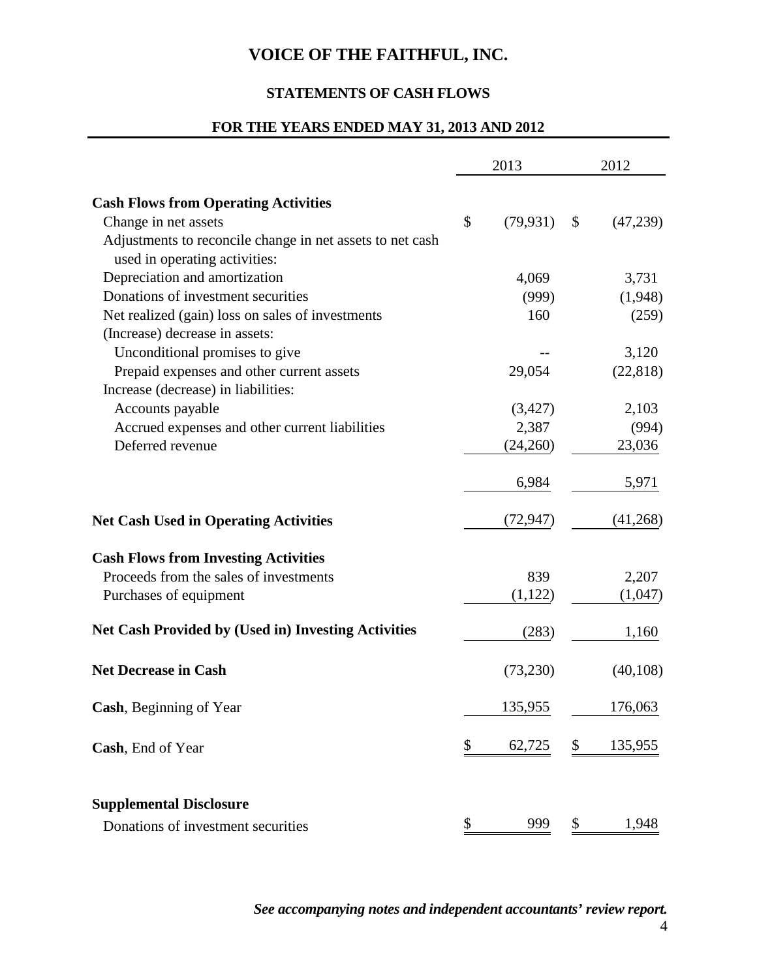## **STATEMENTS OF CASH FLOWS**

### **FOR THE YEARS ENDED MAY 31, 2013 AND 2012**

|                                                                                            |    | 2013      | 2012 |           |  |
|--------------------------------------------------------------------------------------------|----|-----------|------|-----------|--|
| <b>Cash Flows from Operating Activities</b>                                                |    |           |      |           |  |
| Change in net assets                                                                       | \$ | (79, 931) | \$   | (47,239)  |  |
| Adjustments to reconcile change in net assets to net cash<br>used in operating activities: |    |           |      |           |  |
| Depreciation and amortization                                                              |    | 4,069     |      | 3,731     |  |
| Donations of investment securities                                                         |    | (999)     |      | (1,948)   |  |
| Net realized (gain) loss on sales of investments                                           |    | 160       |      | (259)     |  |
|                                                                                            |    |           |      |           |  |
| (Increase) decrease in assets:                                                             |    |           |      |           |  |
| Unconditional promises to give                                                             |    |           |      | 3,120     |  |
| Prepaid expenses and other current assets                                                  |    | 29,054    |      | (22, 818) |  |
| Increase (decrease) in liabilities:                                                        |    |           |      |           |  |
| Accounts payable                                                                           |    | (3,427)   |      | 2,103     |  |
| Accrued expenses and other current liabilities                                             |    | 2,387     |      | (994)     |  |
| Deferred revenue                                                                           |    | (24,260)  |      | 23,036    |  |
|                                                                                            |    | 6,984     |      | 5,971     |  |
| <b>Net Cash Used in Operating Activities</b>                                               |    | (72, 947) |      | (41,268)  |  |
| <b>Cash Flows from Investing Activities</b>                                                |    |           |      |           |  |
| Proceeds from the sales of investments                                                     |    | 839       |      | 2,207     |  |
| Purchases of equipment                                                                     |    | (1,122)   |      | (1,047)   |  |
| <b>Net Cash Provided by (Used in) Investing Activities</b>                                 |    | (283)     |      | 1,160     |  |
| <b>Net Decrease in Cash</b>                                                                |    | (73,230)  |      | (40, 108) |  |
| Cash, Beginning of Year                                                                    |    | 135,955   |      | 176,063   |  |
| Cash, End of Year                                                                          | S  | 62,725    | \$   | 135,955   |  |
| <b>Supplemental Disclosure</b>                                                             |    |           |      |           |  |
| Donations of investment securities                                                         | \$ | 999       | \$   | 1,948     |  |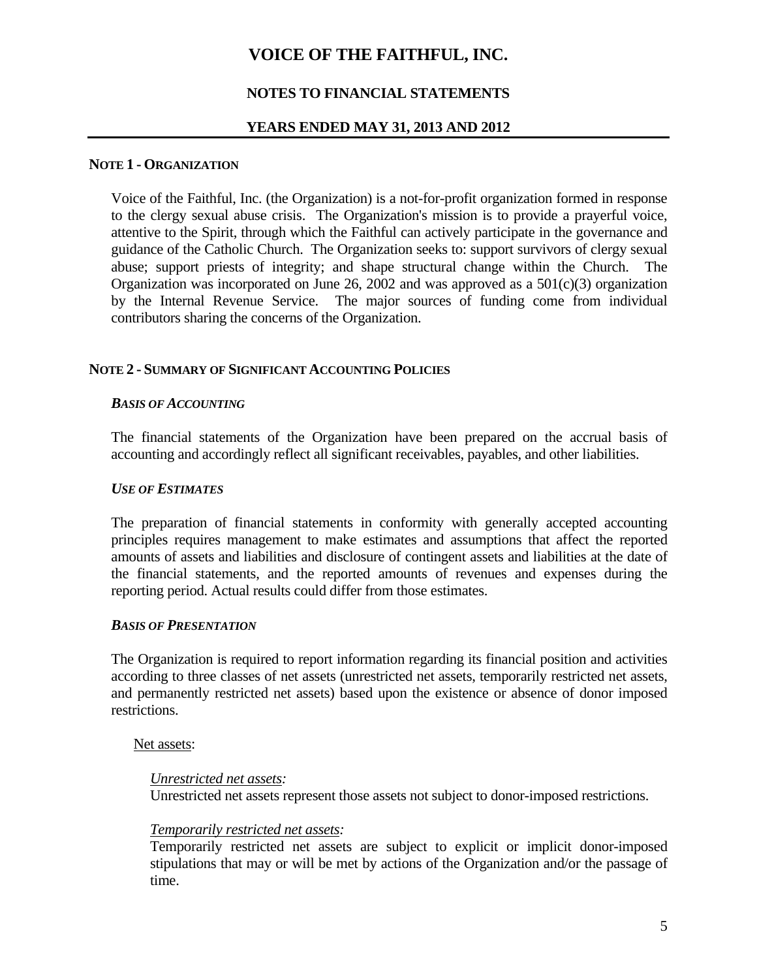### **NOTES TO FINANCIAL STATEMENTS**

#### **YEARS ENDED MAY 31, 2013 AND 2012**

#### **NOTE 1 - ORGANIZATION**

Voice of the Faithful, Inc. (the Organization) is a not-for-profit organization formed in response to the clergy sexual abuse crisis. The Organization's mission is to provide a prayerful voice, attentive to the Spirit, through which the Faithful can actively participate in the governance and guidance of the Catholic Church. The Organization seeks to: support survivors of clergy sexual abuse; support priests of integrity; and shape structural change within the Church. The Organization was incorporated on June 26, 2002 and was approved as a  $501(c)(3)$  organization by the Internal Revenue Service. The major sources of funding come from individual contributors sharing the concerns of the Organization.

#### **NOTE 2 - SUMMARY OF SIGNIFICANT ACCOUNTING POLICIES**

#### *BASIS OF ACCOUNTING*

The financial statements of the Organization have been prepared on the accrual basis of accounting and accordingly reflect all significant receivables, payables, and other liabilities.

#### *USE OF ESTIMATES*

The preparation of financial statements in conformity with generally accepted accounting principles requires management to make estimates and assumptions that affect the reported amounts of assets and liabilities and disclosure of contingent assets and liabilities at the date of the financial statements, and the reported amounts of revenues and expenses during the reporting period. Actual results could differ from those estimates.

#### *BASIS OF PRESENTATION*

The Organization is required to report information regarding its financial position and activities according to three classes of net assets (unrestricted net assets, temporarily restricted net assets, and permanently restricted net assets) based upon the existence or absence of donor imposed restrictions.

#### Net assets:

#### *Unrestricted net assets:*

Unrestricted net assets represent those assets not subject to donor-imposed restrictions.

#### *Temporarily restricted net assets:*

Temporarily restricted net assets are subject to explicit or implicit donor-imposed stipulations that may or will be met by actions of the Organization and/or the passage of time.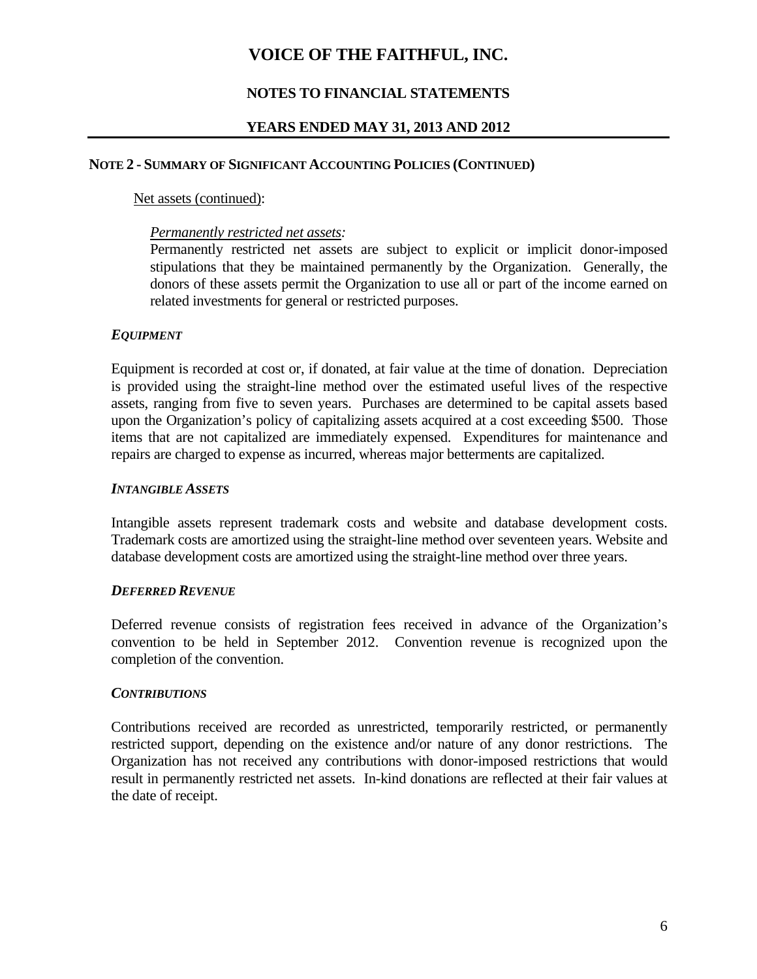## **NOTES TO FINANCIAL STATEMENTS**

#### **YEARS ENDED MAY 31, 2013 AND 2012**

#### **NOTE 2 - SUMMARY OF SIGNIFICANT ACCOUNTING POLICIES (CONTINUED)**

#### Net assets (continued):

#### *Permanently restricted net assets:*

Permanently restricted net assets are subject to explicit or implicit donor-imposed stipulations that they be maintained permanently by the Organization. Generally, the donors of these assets permit the Organization to use all or part of the income earned on related investments for general or restricted purposes.

#### *EQUIPMENT*

Equipment is recorded at cost or, if donated, at fair value at the time of donation. Depreciation is provided using the straight-line method over the estimated useful lives of the respective assets, ranging from five to seven years. Purchases are determined to be capital assets based upon the Organization's policy of capitalizing assets acquired at a cost exceeding \$500. Those items that are not capitalized are immediately expensed. Expenditures for maintenance and repairs are charged to expense as incurred, whereas major betterments are capitalized.

#### *INTANGIBLE ASSETS*

Intangible assets represent trademark costs and website and database development costs. Trademark costs are amortized using the straight-line method over seventeen years. Website and database development costs are amortized using the straight-line method over three years.

#### *DEFERRED REVENUE*

Deferred revenue consists of registration fees received in advance of the Organization's convention to be held in September 2012. Convention revenue is recognized upon the completion of the convention.

#### *CONTRIBUTIONS*

Contributions received are recorded as unrestricted, temporarily restricted, or permanently restricted support, depending on the existence and/or nature of any donor restrictions. The Organization has not received any contributions with donor-imposed restrictions that would result in permanently restricted net assets. In-kind donations are reflected at their fair values at the date of receipt.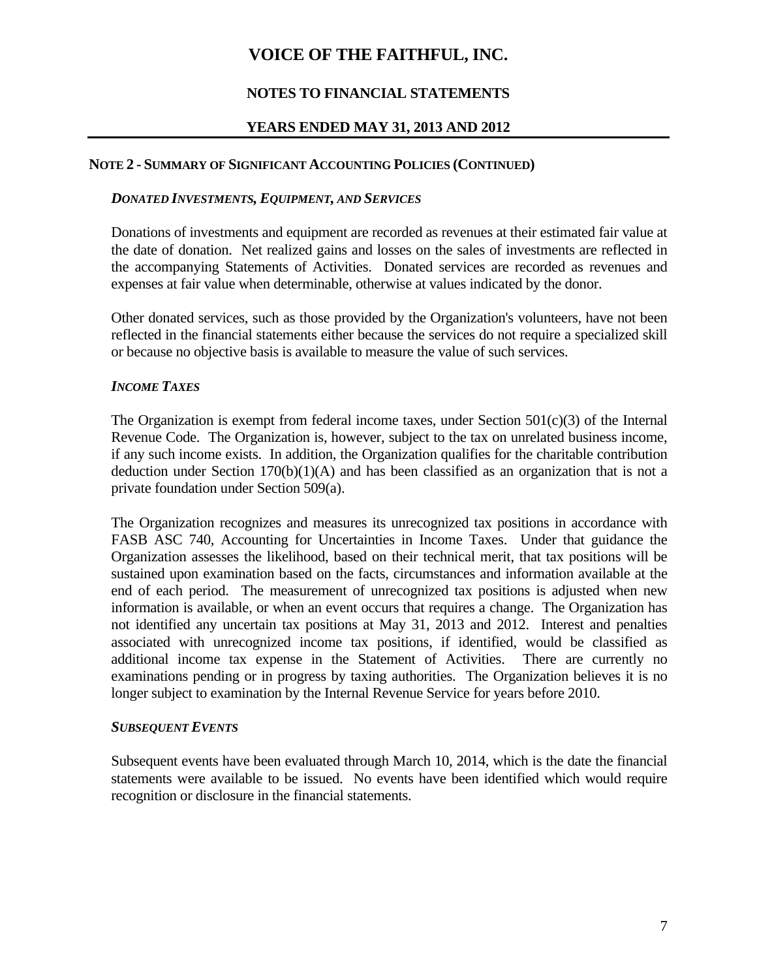## **NOTES TO FINANCIAL STATEMENTS**

#### **YEARS ENDED MAY 31, 2013 AND 2012**

#### **NOTE 2 - SUMMARY OF SIGNIFICANT ACCOUNTING POLICIES (CONTINUED)**

#### *DONATED INVESTMENTS, EQUIPMENT, AND SERVICES*

Donations of investments and equipment are recorded as revenues at their estimated fair value at the date of donation. Net realized gains and losses on the sales of investments are reflected in the accompanying Statements of Activities. Donated services are recorded as revenues and expenses at fair value when determinable, otherwise at values indicated by the donor.

Other donated services, such as those provided by the Organization's volunteers, have not been reflected in the financial statements either because the services do not require a specialized skill or because no objective basis is available to measure the value of such services.

#### *INCOME TAXES*

The Organization is exempt from federal income taxes, under Section  $501(c)(3)$  of the Internal Revenue Code. The Organization is, however, subject to the tax on unrelated business income, if any such income exists. In addition, the Organization qualifies for the charitable contribution deduction under Section  $170(b)(1)(A)$  and has been classified as an organization that is not a private foundation under Section 509(a).

The Organization recognizes and measures its unrecognized tax positions in accordance with FASB ASC 740, Accounting for Uncertainties in Income Taxes. Under that guidance the Organization assesses the likelihood, based on their technical merit, that tax positions will be sustained upon examination based on the facts, circumstances and information available at the end of each period. The measurement of unrecognized tax positions is adjusted when new information is available, or when an event occurs that requires a change. The Organization has not identified any uncertain tax positions at May 31, 2013 and 2012. Interest and penalties associated with unrecognized income tax positions, if identified, would be classified as additional income tax expense in the Statement of Activities. There are currently no examinations pending or in progress by taxing authorities. The Organization believes it is no longer subject to examination by the Internal Revenue Service for years before 2010.

#### *SUBSEQUENT EVENTS*

Subsequent events have been evaluated through March 10, 2014, which is the date the financial statements were available to be issued. No events have been identified which would require recognition or disclosure in the financial statements.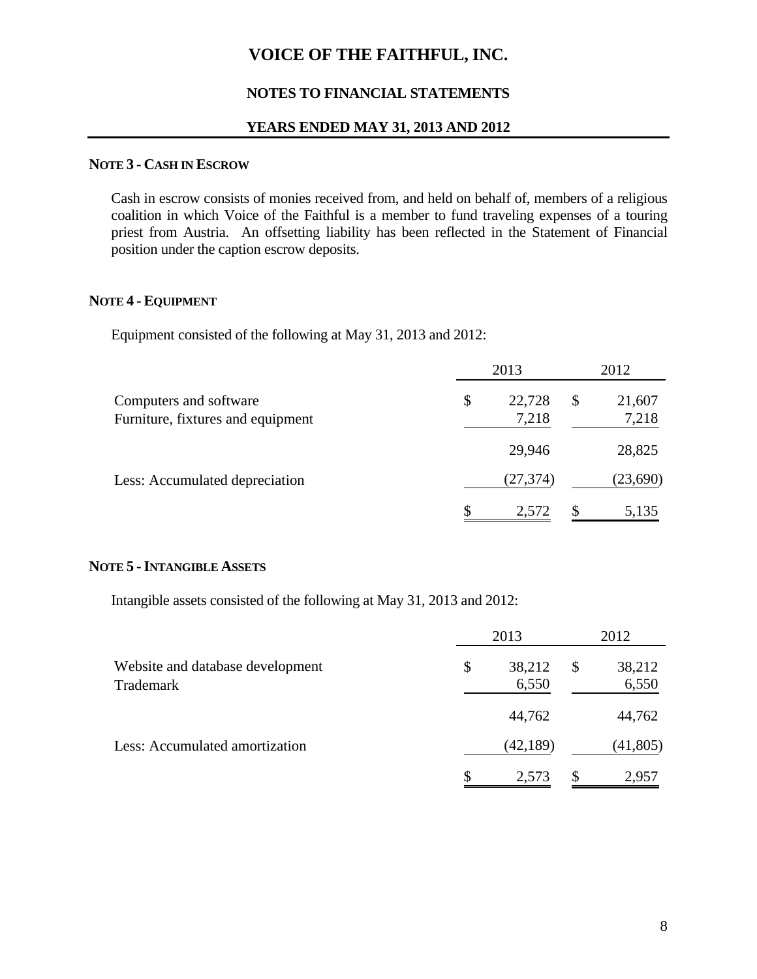#### **NOTES TO FINANCIAL STATEMENTS**

#### **YEARS ENDED MAY 31, 2013 AND 2012**

#### **NOTE 3 - CASH IN ESCROW**

Cash in escrow consists of monies received from, and held on behalf of, members of a religious coalition in which Voice of the Faithful is a member to fund traveling expenses of a touring priest from Austria. An offsetting liability has been reflected in the Statement of Financial position under the caption escrow deposits.

## **NOTE 4 - EQUIPMENT**

Equipment consisted of the following at May 31, 2013 and 2012:

| Computers and software<br>Furniture, fixtures and equipment | 2013 |                 |  | 2012            |  |  |
|-------------------------------------------------------------|------|-----------------|--|-----------------|--|--|
|                                                             | \$   | 22,728<br>7,218 |  | 21,607<br>7,218 |  |  |
|                                                             |      | 29,946          |  | 28,825          |  |  |
| Less: Accumulated depreciation                              |      | (27, 374)       |  | (23,690)        |  |  |
|                                                             | \$   | 2,572           |  | 5,135           |  |  |

#### **NOTE 5 -INTANGIBLE ASSETS**

Intangible assets consisted of the following at May 31, 2013 and 2012:

|                                               | 2013 |                 |   | 2012            |  |  |
|-----------------------------------------------|------|-----------------|---|-----------------|--|--|
| Website and database development<br>Trademark | \$   | 38,212<br>6,550 |   | 38,212<br>6,550 |  |  |
|                                               |      | 44,762          |   | 44,762          |  |  |
| Less: Accumulated amortization                |      | (42, 189)       |   | (41,805)        |  |  |
|                                               |      | 2,573           | S | 2,957           |  |  |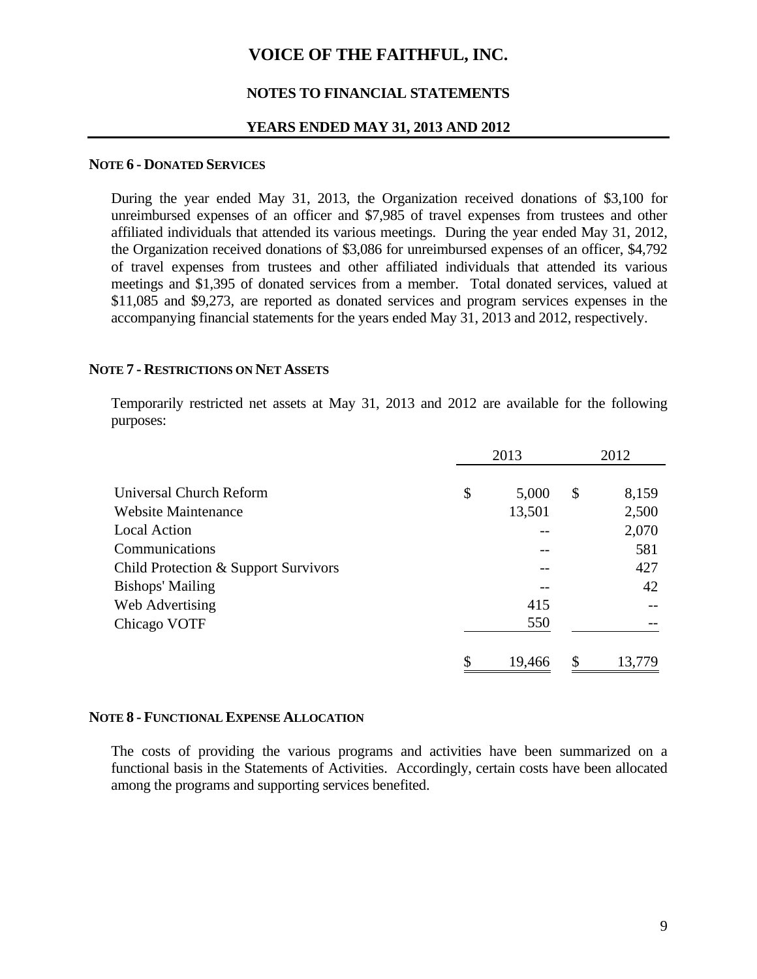#### **NOTES TO FINANCIAL STATEMENTS**

#### **YEARS ENDED MAY 31, 2013 AND 2012**

#### **NOTE 6 - DONATED SERVICES**

During the year ended May 31, 2013, the Organization received donations of \$3,100 for unreimbursed expenses of an officer and \$7,985 of travel expenses from trustees and other affiliated individuals that attended its various meetings. During the year ended May 31, 2012, the Organization received donations of \$3,086 for unreimbursed expenses of an officer, \$4,792 of travel expenses from trustees and other affiliated individuals that attended its various meetings and \$1,395 of donated services from a member. Total donated services, valued at \$11,085 and \$9,273, are reported as donated services and program services expenses in the accompanying financial statements for the years ended May 31, 2013 and 2012, respectively.

#### **NOTE 7 - RESTRICTIONS ON NET ASSETS**

Temporarily restricted net assets at May 31, 2013 and 2012 are available for the following purposes:

|                                      | 2013 |        |    | 2012   |
|--------------------------------------|------|--------|----|--------|
| Universal Church Reform              | \$   | 5,000  | \$ | 8,159  |
| Website Maintenance                  |      | 13,501 |    | 2,500  |
| <b>Local Action</b>                  |      |        |    | 2,070  |
| Communications                       |      |        |    | 581    |
| Child Protection & Support Survivors |      |        |    | 427    |
| <b>Bishops' Mailing</b>              |      |        |    | 42     |
| Web Advertising                      |      | 415    |    |        |
| Chicago VOTF                         |      | 550    |    |        |
|                                      | \$   | 19,466 | \$ | 13,779 |

#### **NOTE 8 - FUNCTIONAL EXPENSE ALLOCATION**

The costs of providing the various programs and activities have been summarized on a functional basis in the Statements of Activities. Accordingly, certain costs have been allocated among the programs and supporting services benefited.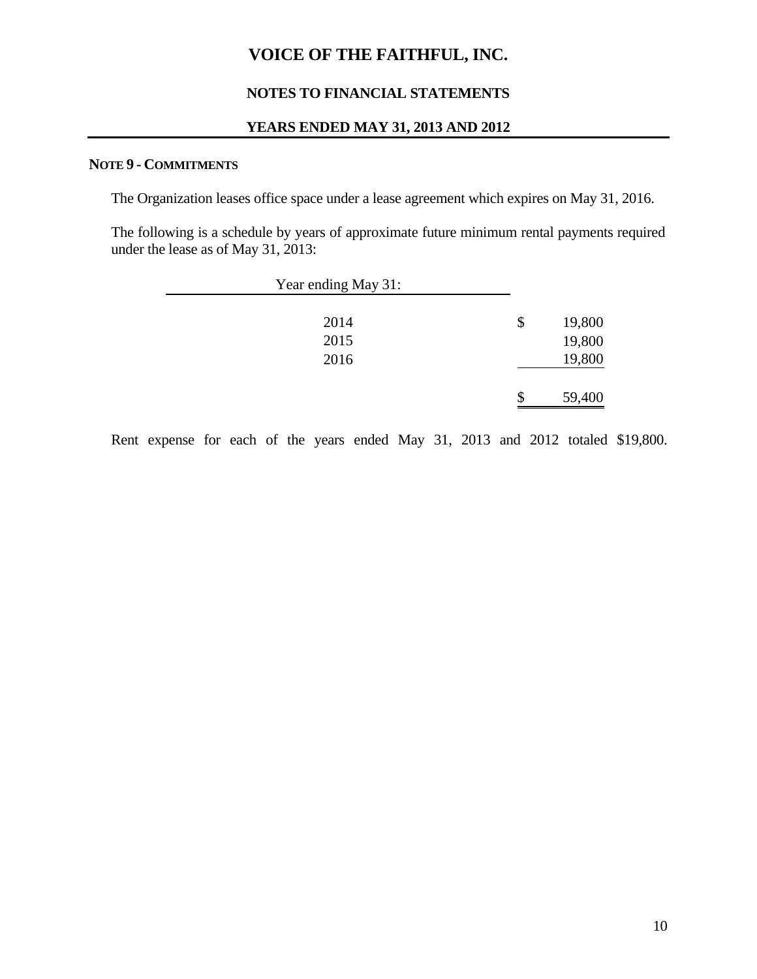#### **NOTES TO FINANCIAL STATEMENTS**

#### **YEARS ENDED MAY 31, 2013 AND 2012**

#### **NOTE 9 - COMMITMENTS**

The Organization leases office space under a lease agreement which expires on May 31, 2016.

The following is a schedule by years of approximate future minimum rental payments required under the lease as of May 31, 2013:

| Year ending May 31: |    |        |
|---------------------|----|--------|
| 2014                | \$ | 19,800 |
| 2015                |    | 19,800 |
| 2016                |    | 19,800 |
|                     | S. | 59,400 |
|                     |    |        |

Rent expense for each of the years ended May 31, 2013 and 2012 totaled \$19,800.